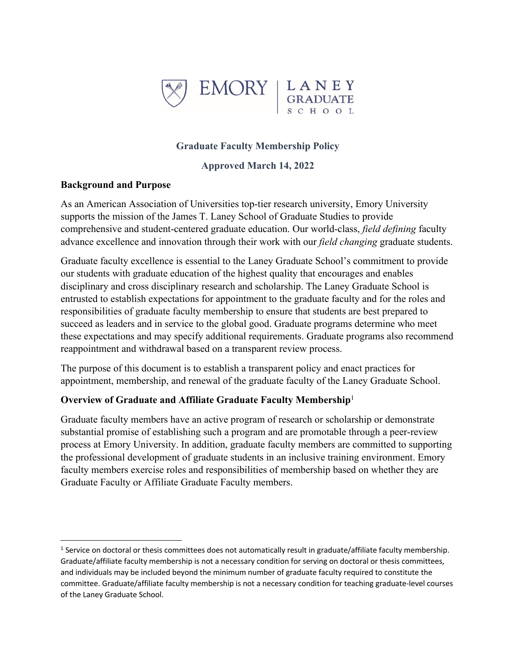

## **Graduate Faculty Membership Policy**

**Approved March 14, 2022**

#### **Background and Purpose**

As an American Association of Universities top-tier research university, Emory University supports the mission of the James T. Laney School of Graduate Studies to provide comprehensive and student-centered graduate education. Our world-class, *field defining* faculty advance excellence and innovation through their work with our *field changing* graduate students.

Graduate faculty excellence is essential to the Laney Graduate School's commitment to provide our students with graduate education of the highest quality that encourages and enables disciplinary and cross disciplinary research and scholarship. The Laney Graduate School is entrusted to establish expectations for appointment to the graduate faculty and for the roles and responsibilities of graduate faculty membership to ensure that students are best prepared to succeed as leaders and in service to the global good. Graduate programs determine who meet these expectations and may specify additional requirements. Graduate programs also recommend reappointment and withdrawal based on a transparent review process.

The purpose of this document is to establish a transparent policy and enact practices for appointment, membership, and renewal of the graduate faculty of the Laney Graduate School.

#### **Overview of Graduate and Affiliate Graduate Faculty Membership**<sup>1</sup>

Graduate faculty members have an active program of research or scholarship or demonstrate substantial promise of establishing such a program and are promotable through a peer-review process at Emory University. In addition, graduate faculty members are committed to supporting the professional development of graduate students in an inclusive training environment. Emory faculty members exercise roles and responsibilities of membership based on whether they are Graduate Faculty or Affiliate Graduate Faculty members.

 $1$  Service on doctoral or thesis committees does not automatically result in graduate/affiliate faculty membership. Graduate/affiliate faculty membership is not a necessary condition for serving on doctoral or thesis committees, and individuals may be included beyond the minimum number of graduate faculty required to constitute the committee. Graduate/affiliate faculty membership is not a necessary condition for teaching graduate-level courses of the Laney Graduate School.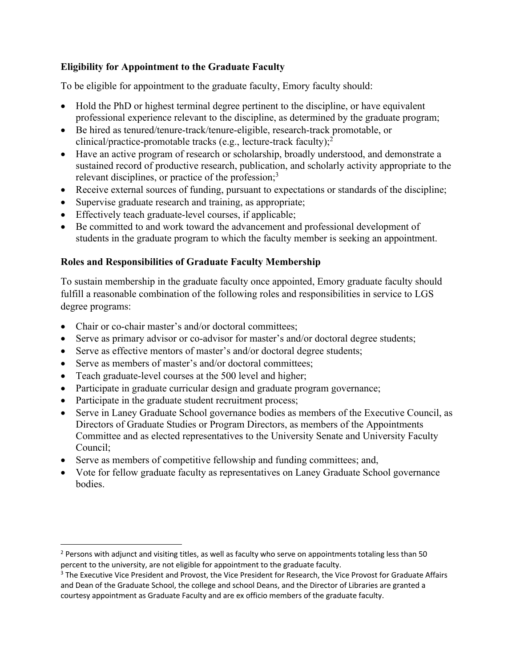# **Eligibility for Appointment to the Graduate Faculty**

To be eligible for appointment to the graduate faculty, Emory faculty should:

- Hold the PhD or highest terminal degree pertinent to the discipline, or have equivalent professional experience relevant to the discipline, as determined by the graduate program;
- Be hired as tenured/tenure-track/tenure-eligible, research-track promotable, or clinical/practice-promotable tracks (e.g., lecture-track faculty); 2
- Have an active program of research or scholarship, broadly understood, and demonstrate a sustained record of productive research, publication, and scholarly activity appropriate to the relevant disciplines, or practice of the profession;<sup>3</sup>
- Receive external sources of funding, pursuant to expectations or standards of the discipline;
- Supervise graduate research and training, as appropriate;
- Effectively teach graduate-level courses, if applicable;
- Be committed to and work toward the advancement and professional development of students in the graduate program to which the faculty member is seeking an appointment.

## **Roles and Responsibilities of Graduate Faculty Membership**

To sustain membership in the graduate faculty once appointed, Emory graduate faculty should fulfill a reasonable combination of the following roles and responsibilities in service to LGS degree programs:

- Chair or co-chair master's and/or doctoral committees:
- Serve as primary advisor or co-advisor for master's and/or doctoral degree students;
- Serve as effective mentors of master's and/or doctoral degree students;
- Serve as members of master's and/or doctoral committees;
- Teach graduate-level courses at the 500 level and higher;
- Participate in graduate curricular design and graduate program governance;
- Participate in the graduate student recruitment process;
- Serve in Laney Graduate School governance bodies as members of the Executive Council, as Directors of Graduate Studies or Program Directors, as members of the Appointments Committee and as elected representatives to the University Senate and University Faculty Council;
- Serve as members of competitive fellowship and funding committees; and,
- Vote for fellow graduate faculty as representatives on Laney Graduate School governance bodies.

<sup>&</sup>lt;sup>2</sup> Persons with adjunct and visiting titles, as well as faculty who serve on appointments totaling less than 50 percent to the university, are not eligible for appointment to the graduate faculty.

<sup>&</sup>lt;sup>3</sup> The Executive Vice President and Provost, the Vice President for Research, the Vice Provost for Graduate Affairs and Dean of the Graduate School, the college and school Deans, and the Director of Libraries are granted a courtesy appointment as Graduate Faculty and are ex officio members of the graduate faculty.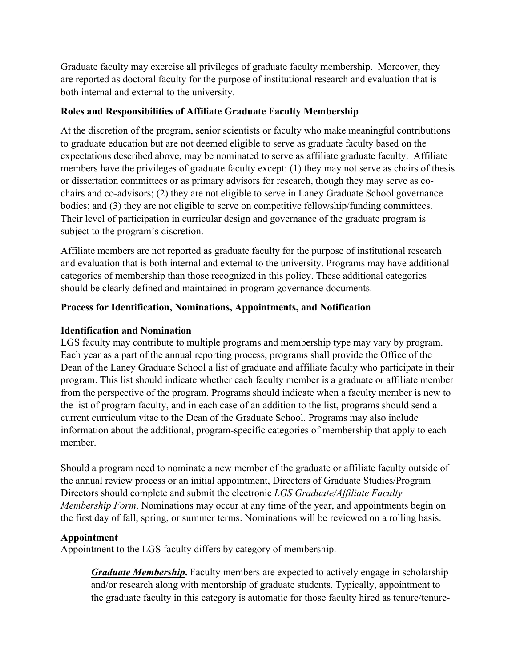Graduate faculty may exercise all privileges of graduate faculty membership. Moreover, they are reported as doctoral faculty for the purpose of institutional research and evaluation that is both internal and external to the university.

#### **Roles and Responsibilities of Affiliate Graduate Faculty Membership**

At the discretion of the program, senior scientists or faculty who make meaningful contributions to graduate education but are not deemed eligible to serve as graduate faculty based on the expectations described above, may be nominated to serve as affiliate graduate faculty. Affiliate members have the privileges of graduate faculty except: (1) they may not serve as chairs of thesis or dissertation committees or as primary advisors for research, though they may serve as cochairs and co-advisors; (2) they are not eligible to serve in Laney Graduate School governance bodies; and (3) they are not eligible to serve on competitive fellowship/funding committees. Their level of participation in curricular design and governance of the graduate program is subject to the program's discretion.

Affiliate members are not reported as graduate faculty for the purpose of institutional research and evaluation that is both internal and external to the university. Programs may have additional categories of membership than those recognized in this policy. These additional categories should be clearly defined and maintained in program governance documents.

## **Process for Identification, Nominations, Appointments, and Notification**

## **Identification and Nomination**

LGS faculty may contribute to multiple programs and membership type may vary by program. Each year as a part of the annual reporting process, programs shall provide the Office of the Dean of the Laney Graduate School a list of graduate and affiliate faculty who participate in their program. This list should indicate whether each faculty member is a graduate or affiliate member from the perspective of the program. Programs should indicate when a faculty member is new to the list of program faculty, and in each case of an addition to the list, programs should send a current curriculum vitae to the Dean of the Graduate School. Programs may also include information about the additional, program-specific categories of membership that apply to each member.

Should a program need to nominate a new member of the graduate or affiliate faculty outside of the annual review process or an initial appointment, Directors of Graduate Studies/Program Directors should complete and submit the electronic *LGS Graduate/Affiliate Faculty Membership Form*. Nominations may occur at any time of the year, and appointments begin on the first day of fall, spring, or summer terms. Nominations will be reviewed on a rolling basis.

#### **Appointment**

Appointment to the LGS faculty differs by category of membership.

*Graduate Membership***.** Faculty members are expected to actively engage in scholarship and/or research along with mentorship of graduate students. Typically, appointment to the graduate faculty in this category is automatic for those faculty hired as tenure/tenure